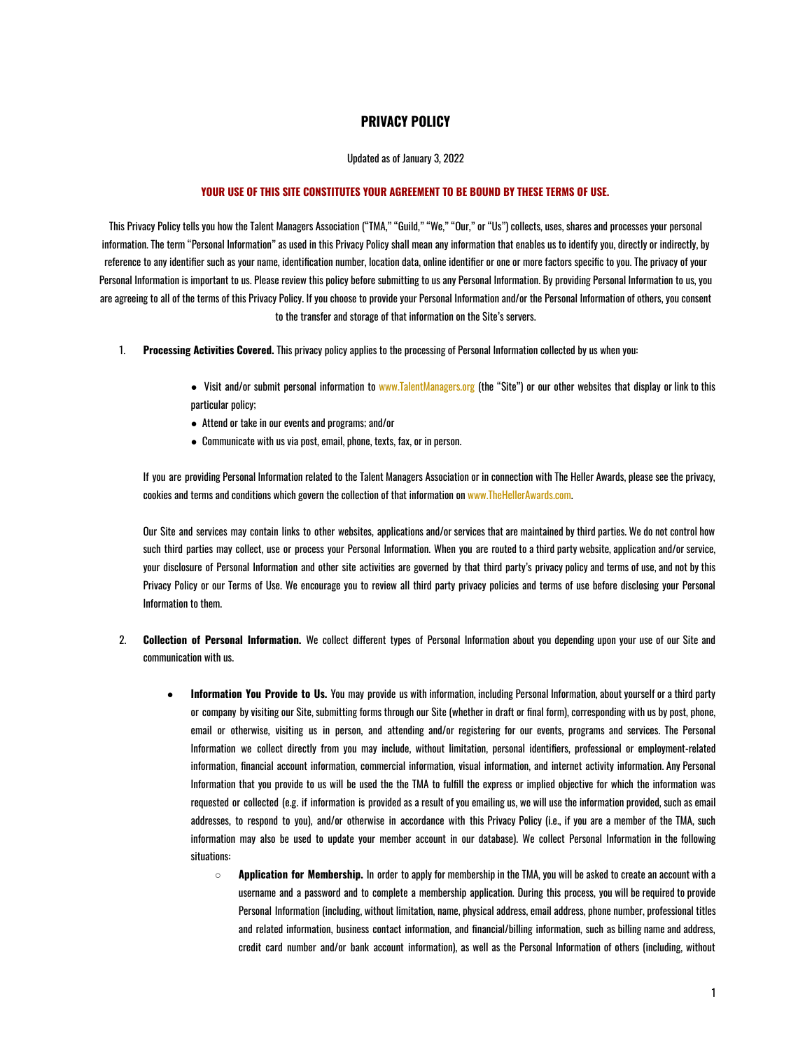## **PRIVACY POLICY**

## Updated as of January 3, 2022

## **YOUR USE OF THIS SITE CONSTITUTES YOUR AGREEMENT TO BE BOUND BY THESE TERMS OF USE.**

This Privacy Policy tells you how the Talent Managers Association ("TMA," "Guild," "We," "Our," or "Us") collects, uses, shares and processes your personal information. The term "Personal Information" as used in this Privacy Policy shall mean any information that enables us to identify you, directly or indirectly, by reference to any identifier such as your name, identification number, location data, online identifier or one or more factors specific to you. The privacy of your Personal Information is important to us. Please review this policy before submitting to us any Personal Information. By providing Personal Information to us, you are agreeing to all of the terms of this Privacy Policy. If you choose to provide your Personal Information and/or the Personal Information of others, you consent to the transfer and storage of that information on the Site's servers.

- 1. **Processing Activities Covered.** This privacy policy applies to the processing of Personal Information collected by us when you:
	- Visit and/or submit personal information to www.TalentManagers.org (the "Site") or our other websites that display or link to this particular policy;
	- Attend or take in our events and programs; and/or
	- Communicate with us via post, email, phone, texts, fax, or in person.

If you are providing Personal Information related to the Talent Managers Association or in connection with The Heller Awards, please see the privacy, cookies and terms and conditions which govern the collection of that information on www.TheHellerAwards.com.

Our Site and services may contain links to other websites, applications and/or services that are maintained by third parties. We do not control how such third parties may collect, use or process your Personal Information. When you are routed to a third party website, application and/or service, your disclosure of Personal Information and other site activities are governed by that third party's privacy policy and terms of use, and not by this Privacy Policy or our Terms of Use. We encourage you to review all third party privacy policies and terms of use before disclosing your Personal Information to them.

- 2. **Collection of Personal Information.** We collect different types of Personal Information about you depending upon your use of our Site and communication with us.
	- **Information You Provide to Us.** You may provide us with information, including Personal Information, about yourself or a third party or company by visiting our Site, submitting forms through our Site (whether in draft or final form), corresponding with us by post, phone, email or otherwise, visiting us in person, and attending and/or registering for our events, programs and services. The Personal Information we collect directly from you may include, without limitation, personal identifiers, professional or employment-related information, financial account information, commercial information, visual information, and internet activity information. Any Personal Information that you provide to us will be used the the TMA to fulfill the express or implied objective for which the information was requested or collected (e.g. if information is provided as a result of you emailing us, we will use the information provided, such as email addresses, to respond to you), and/or otherwise in accordance with this Privacy Policy (i.e., if you are a member of the TMA, such information may also be used to update your member account in our database). We collect Personal Information in the following situations:
		- **Application for Membership.** In order to apply for membership in the TMA, you will be asked to create an account with a username and a password and to complete a membership application. During this process, you will be required to provide Personal Information (including, without limitation, name, physical address, email address, phone number, professional titles and related information, business contact information, and financial/billing information, such as billing name and address, credit card number and/or bank account information), as well as the Personal Information of others (including, without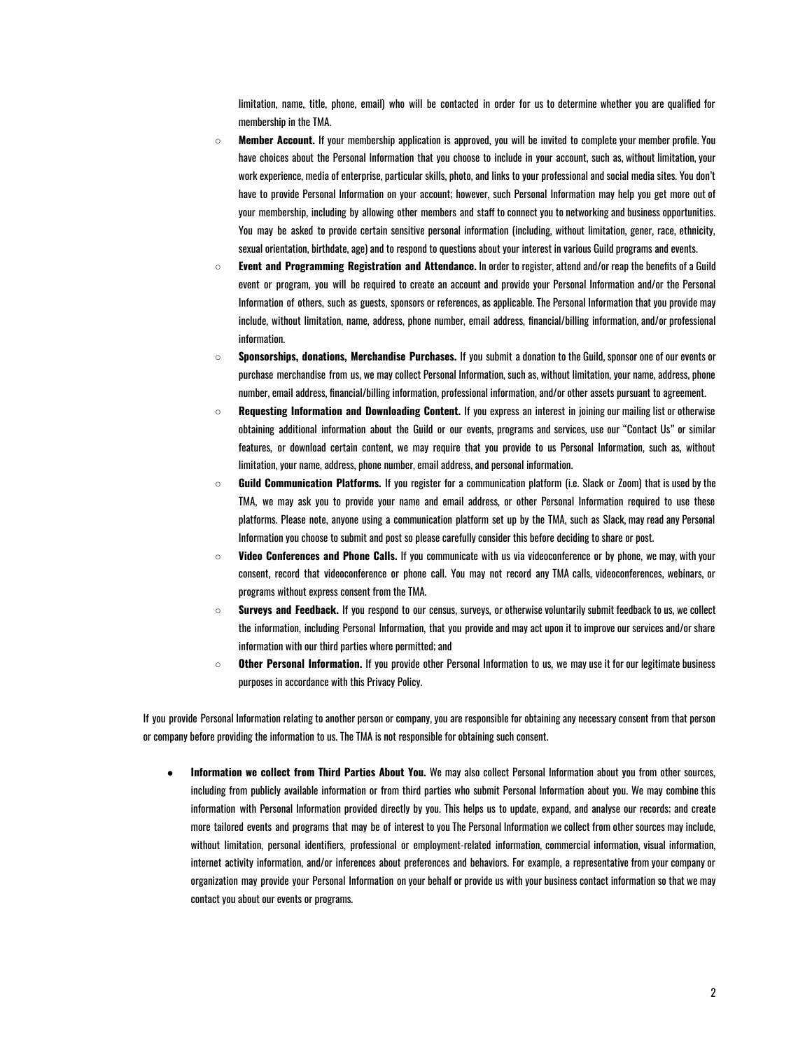limitation, name, title, phone, email) who will be contacted in order for us to determine whether you are qualified for membership in the TMA.

- **Member Account.** If your membership application is approved, you will be invited to complete your member profile. You have choices about the Personal Information that you choose to include in your account, such as, without limitation, your work experience, media of enterprise, particular skills, photo, and links to your professional and social media sites. You don't have to provide Personal Information on your account; however, such Personal Information may help you get more out of your membership, including by allowing other members and staff to connect you to networking and business opportunities. You may be asked to provide certain sensitive personal information (including, without limitation, gener, race, ethnicity, sexual orientation, birthdate, age) and to respond to questions about your interest in various Guild programs and events.
- **Event and Programming Registration and Attendance.** In order to register, attend and/or reap the benefits of a Guild event or program, you will be required to create an account and provide your Personal Information and/or the Personal Information of others, such as guests, sponsors or references, as applicable. The Personal Information that you provide may include, without limitation, name, address, phone number, email address, financial/billing information, and/or professional information.
- **Sponsorships, donations, Merchandise Purchases.** If you submit a donation to the Guild, sponsor one of our events or purchase merchandise from us, we may collect Personal Information, such as, without limitation, your name, address, phone number, email address, financial/billing information, professional information, and/or other assets pursuant to agreement.
- **Requesting Information and Downloading Content.** If you express an interest in joining our mailing list or otherwise obtaining additional information about the Guild or our events, programs and services, use our "Contact Us" or similar features, or download certain content, we may require that you provide to us Personal Information, such as, without limitation, your name, address, phone number, email address, and personal information.
- **Guild Communication Platforms.** If you register for a communication platform (i.e. Slack or Zoom) that is used by the TMA, we may ask you to provide your name and email address, or other Personal Information required to use these platforms. Please note, anyone using a communication platform set up by the TMA, such as Slack, may read any Personal Information you choose to submit and post so please carefully consider this before deciding to share or post.
- **Video Conferences and Phone Calls.** If you communicate with us via videoconference or by phone, we may, with your consent, record that videoconference or phone call. You may not record any TMA calls, videoconferences, webinars, or programs without express consent from the TMA.
- **Surveys and Feedback.** If you respond to our census, surveys, or otherwise voluntarily submit feedback to us, we collect the information, including Personal Information, that you provide and may act upon it to improve our services and/or share information with our third parties where permitted; and
- **Other Personal Information.** If you provide other Personal Information to us, we may use it for our legitimate business purposes in accordance with this Privacy Policy.

If you provide Personal Information relating to another person or company, you are responsible for obtaining any necessary consent from that person or company before providing the information to us. The TMA is not responsible for obtaining such consent.

● **Information we collect from Third Parties About You.** We may also collect Personal Information about you from other sources, including from publicly available information or from third parties who submit Personal Information about you. We may combine this information with Personal Information provided directly by you. This helps us to update, expand, and analyse our records; and create more tailored events and programs that may be of interest to you The Personal Information we collect from other sources may include, without limitation, personal identifiers, professional or employment-related information, commercial information, visual information, internet activity information, and/or inferences about preferences and behaviors. For example, a representative from your company or organization may provide your Personal Information on your behalf or provide us with your business contact information so that we may contact you about our events or programs.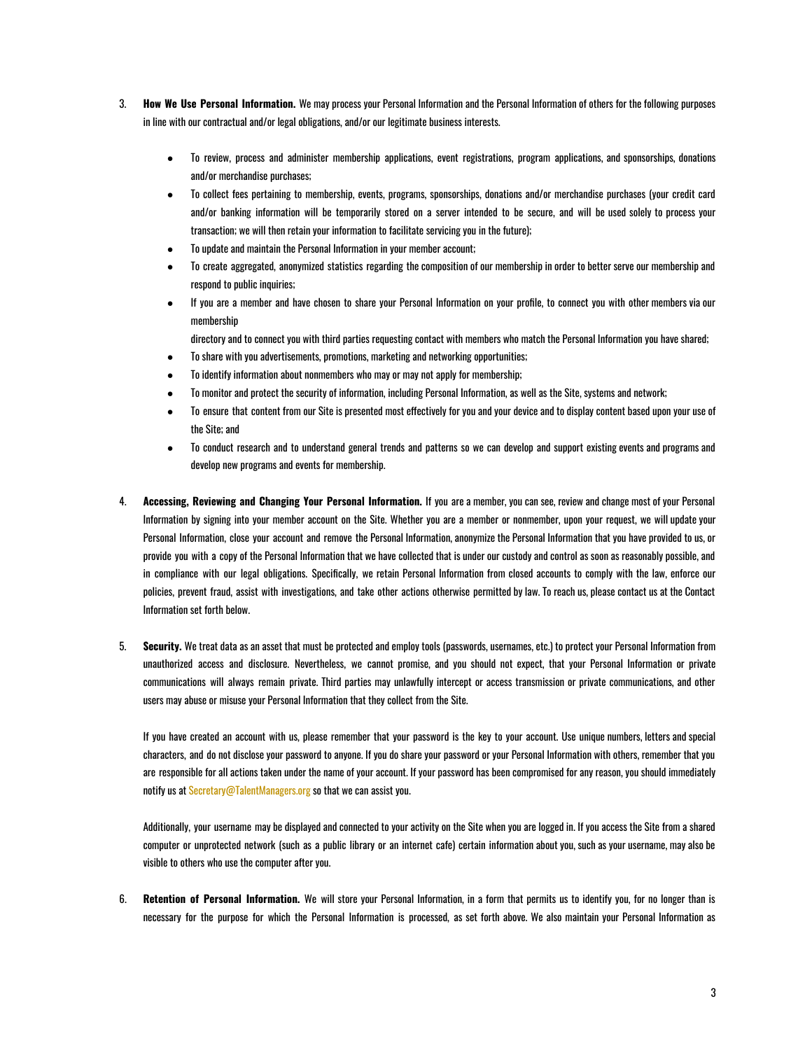- 3. **How We Use Personal Information.** We may process your Personal Information and the Personal Information of others for the following purposes in line with our contractual and/or legal obligations, and/or our legitimate business interests.
	- To review, process and administer membership applications, event registrations, program applications, and sponsorships, donations and/or merchandise purchases;
	- To collect fees pertaining to membership, events, programs, sponsorships, donations and/or merchandise purchases (your credit card and/or banking information will be temporarily stored on a server intended to be secure, and will be used solely to process your transaction; we will then retain your information to facilitate servicing you in the future);
	- To update and maintain the Personal Information in your member account;
	- To create aggregated, anonymized statistics regarding the composition of our membership in order to better serve our membership and respond to public inquiries;
	- If you are a member and have chosen to share your Personal Information on your profile, to connect you with other members via our membership

directory and to connect you with third parties requesting contact with members who match the Personal Information you have shared;

- To share with you advertisements, promotions, marketing and networking opportunities;
- To identify information about nonmembers who may or may not apply for membership;
- To monitor and protect the security of information, including Personal Information, as well as the Site, systems and network;
- To ensure that content from our Site is presented most effectively for you and your device and to display content based upon your use of the Site; and
- To conduct research and to understand general trends and patterns so we can develop and support existing events and programs and develop new programs and events for membership.
- 4. **Accessing, Reviewing and Changing Your Personal Information.** If you are a member, you can see, review and change most of your Personal Information by signing into your member account on the Site. Whether you are a member or nonmember, upon your request, we will update your Personal Information, close your account and remove the Personal Information, anonymize the Personal Information that you have provided to us, or provide you with a copy of the Personal Information that we have collected that is under our custody and control as soon as reasonably possible, and in compliance with our legal obligations. Specifically, we retain Personal Information from closed accounts to comply with the law, enforce our policies, prevent fraud, assist with investigations, and take other actions otherwise permitted by law. To reach us, please contact us at the Contact Information set forth below.
- 5. **Security.** We treat data as an asset that must be protected and employ tools (passwords, usernames, etc.) to protect your Personal Information from unauthorized access and disclosure. Nevertheless, we cannot promise, and you should not expect, that your Personal Information or private communications will always remain private. Third parties may unlawfully intercept or access transmission or private communications, and other users may abuse or misuse your Personal Information that they collect from the Site.

If you have created an account with us, please remember that your password is the key to your account. Use unique numbers, letters and special characters, and do not disclose your password to anyone. If you do share your password or your Personal Information with others, remember that you are responsible for all actions taken under the name of your account. If your password has been compromised for any reason, you should immediately notify us at Secretary@TalentManagers.org so that we can assist you.

Additionally, your username may be displayed and connected to your activity on the Site when you are logged in. If you access the Site from a shared computer or unprotected network (such as a public library or an internet cafe) certain information about you, such as your username, may also be visible to others who use the computer after you.

6. **Retention of Personal Information.** We will store your Personal Information, in a form that permits us to identify you, for no longer than is necessary for the purpose for which the Personal Information is processed, as set forth above. We also maintain your Personal Information as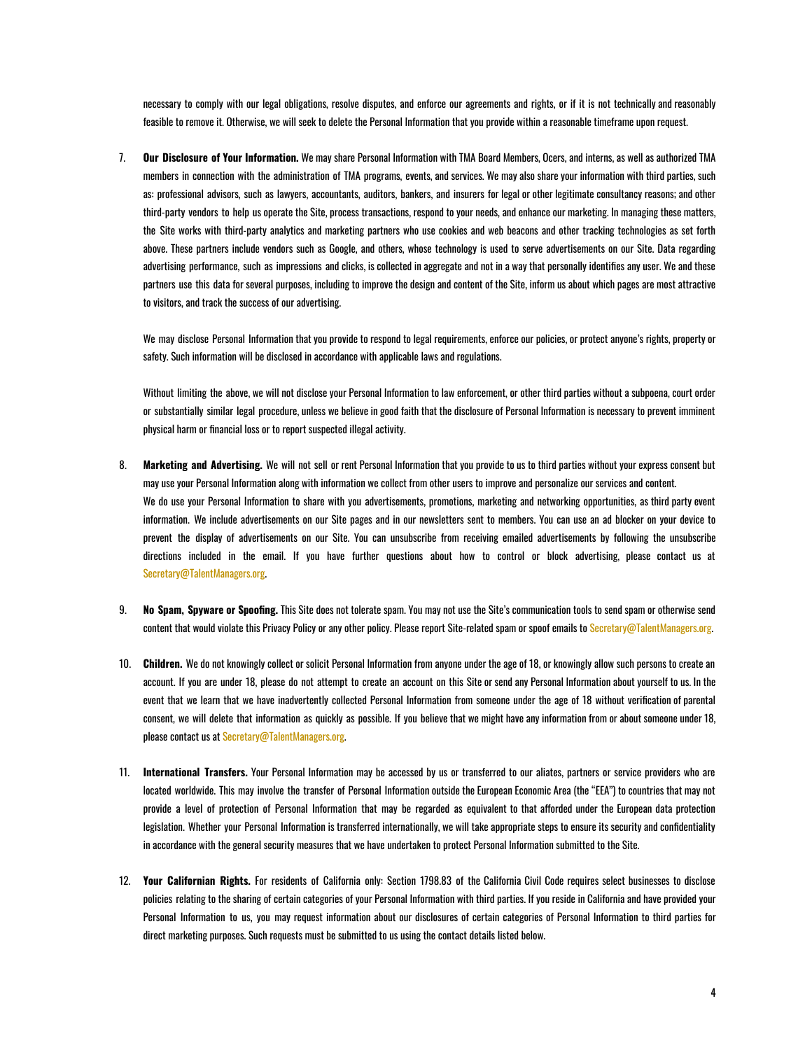necessary to comply with our legal obligations, resolve disputes, and enforce our agreements and rights, or if it is not technically and reasonably feasible to remove it. Otherwise, we will seek to delete the Personal Information that you provide within a reasonable timeframe upon request.

7. **Our Disclosure of Your Information.** We may share Personal Information with TMA Board Members, Ocers, and interns, as well as authorized TMA members in connection with the administration of TMA programs, events, and services. We may also share your information with third parties, such as: professional advisors, such as lawyers, accountants, auditors, bankers, and insurers for legal or other legitimate consultancy reasons; and other third-party vendors to help us operate the Site, process transactions, respond to your needs, and enhance our marketing. In managing these matters, the Site works with third-party analytics and marketing partners who use cookies and web beacons and other tracking technologies as set forth above. These partners include vendors such as Google, and others, whose technology is used to serve advertisements on our Site. Data regarding advertising performance, such as impressions and clicks, is collected in aggregate and not in a way that personally identifies any user. We and these partners use this data for several purposes, including to improve the design and content of the Site, inform us about which pages are most attractive to visitors, and track the success of our advertising.

We may disclose Personal Information that you provide to respond to legal requirements, enforce our policies, or protect anyone's rights, property or safety. Such information will be disclosed in accordance with applicable laws and regulations.

Without limiting the above, we will not disclose your Personal Information to law enforcement, or other third parties without a subpoena, court order or substantially similar legal procedure, unless we believe in good faith that the disclosure of Personal Information is necessary to prevent imminent physical harm or financial loss or to report suspected illegal activity.

- 8. **Marketing and Advertising.** We will not sell or rent Personal Information that you provide to us to third parties without your express consent but may use your Personal Information along with information we collect from other users to improve and personalize our services and content. We do use your Personal Information to share with you advertisements, promotions, marketing and networking opportunities, as third party event information. We include advertisements on our Site pages and in our newsletters sent to members. You can use an ad blocker on your device to prevent the display of advertisements on our Site. You can unsubscribe from receiving emailed advertisements by following the unsubscribe directions included in the email. If you have further questions about how to control or block advertising, please contact us at Secretary@TalentManagers.org.
- 9. **No Spam, Spyware or Spoofing.** This Site does not tolerate spam. You may not use the Site's communication tools to send spam or otherwise send content that would violate this Privacy Policy or any other policy. Please report Site-related spam or spoof emails to Secretary@TalentManagers.org.
- 10. **Children.** We do not knowingly collect or solicit Personal Information from anyone under the age of 18, or knowingly allow such persons to create an account. If you are under 18, please do not attempt to create an account on this Site or send any Personal Information about yourself to us. In the event that we learn that we have inadvertently collected Personal Information from someone under the age of 18 without verification of parental consent, we will delete that information as quickly as possible. If you believe that we might have any information from or about someone under 18, please contact us at Secretary@TalentManagers.org.
- 11. **International Transfers.** Your Personal Information may be accessed by us or transferred to our aliates, partners or service providers who are located worldwide. This may involve the transfer of Personal Information outside the European Economic Area (the "EEA") to countries that may not provide a level of protection of Personal Information that may be regarded as equivalent to that afforded under the European data protection legislation. Whether your Personal Information is transferred internationally, we will take appropriate steps to ensure its security and confidentiality in accordance with the general security measures that we have undertaken to protect Personal Information submitted to the Site.
- 12. **Your Californian Rights.** For residents of California only: Section 1798.83 of the California Civil Code requires select businesses to disclose policies relating to the sharing of certain categories of your Personal Information with third parties. If you reside in California and have provided your Personal Information to us, you may request information about our disclosures of certain categories of Personal Information to third parties for direct marketing purposes. Such requests must be submitted to us using the contact details listed below.